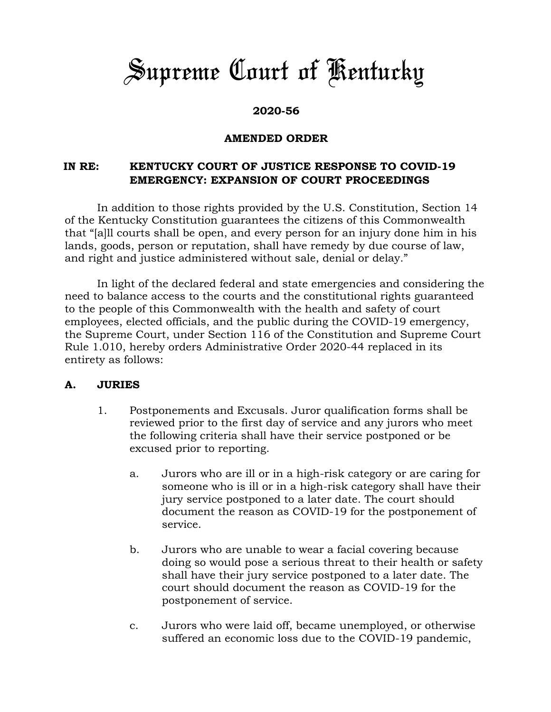# *Supreme Court of Kentucky*

# **2020-56**

### **AMENDED ORDER**

# **IN RE: KENTUCKY COURT OF JUSTICE RESPONSE TO COVID-19 EMERGENCY: EXPANSION OF COURT PROCEEDINGS**

In addition to those rights provided by the U.S. Constitution, Section 14 of the Kentucky Constitution guarantees the citizens of this Commonwealth that "[a]ll courts shall be open, and every person for an injury done him in his lands, goods, person or reputation, shall have remedy by due course of law, and right and justice administered without sale, denial or delay."

In light of the declared federal and state emergencies and considering the need to balance access to the courts and the constitutional rights guaranteed to the people of this Commonwealth with the health and safety of court employees, elected officials, and the public during the COVID-19 emergency, the Supreme Court, under Section 116 of the Constitution and Supreme Court Rule 1.010, hereby orders Administrative Order 2020-44 replaced in its entirety as follows:

#### **A. JURIES**

- 1. Postponements and Excusals. Juror qualification forms shall be reviewed prior to the first day of service and any jurors who meet the following criteria shall have their service postponed or be excused prior to reporting.
	- a. Jurors who are ill or in a high-risk category or are caring for someone who is ill or in a high-risk category shall have their jury service postponed to a later date. The court should document the reason as COVID-19 for the postponement of service.
	- b. Jurors who are unable to wear a facial covering because doing so would pose a serious threat to their health or safety shall have their jury service postponed to a later date. The court should document the reason as COVID-19 for the postponement of service.
	- c. Jurors who were laid off, became unemployed, or otherwise suffered an economic loss due to the COVID-19 pandemic,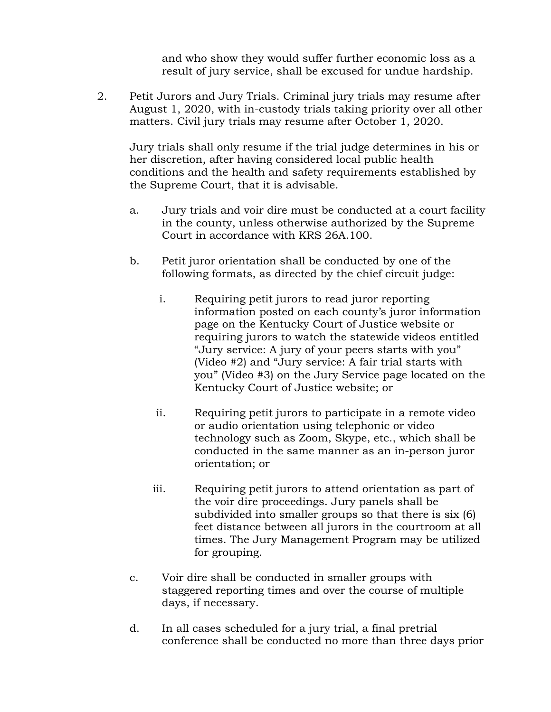and who show they would suffer further economic loss as a result of jury service, shall be excused for undue hardship.

2. Petit Jurors and Jury Trials. Criminal jury trials may resume after August 1, 2020, with in-custody trials taking priority over all other matters. Civil jury trials may resume after October 1, 2020.

Jury trials shall only resume if the trial judge determines in his or her discretion, after having considered local public health conditions and the health and safety requirements established by the Supreme Court, that it is advisable.

- a. Jury trials and voir dire must be conducted at a court facility in the county, unless otherwise authorized by the Supreme Court in accordance with KRS 26A.100.
- b. Petit juror orientation shall be conducted by one of the following formats, as directed by the chief circuit judge:
	- i. Requiring petit jurors to read juror reporting information posted on each county's juror information page on the Kentucky Court of Justice website or requiring jurors to watch the statewide videos entitled "Jury service: A jury of your peers starts with you" (Video #2) and "Jury service: A fair trial starts with you" (Video #3) on the Jury Service page located on the Kentucky Court of Justice website; or
	- ii. Requiring petit jurors to participate in a remote video or audio orientation using telephonic or video technology such as Zoom, Skype, etc., which shall be conducted in the same manner as an in-person juror orientation; or
	- iii. Requiring petit jurors to attend orientation as part of the voir dire proceedings. Jury panels shall be subdivided into smaller groups so that there is six (6) feet distance between all jurors in the courtroom at all times. The Jury Management Program may be utilized for grouping.
- c. Voir dire shall be conducted in smaller groups with staggered reporting times and over the course of multiple days, if necessary.
- d. In all cases scheduled for a jury trial, a final pretrial conference shall be conducted no more than three days prior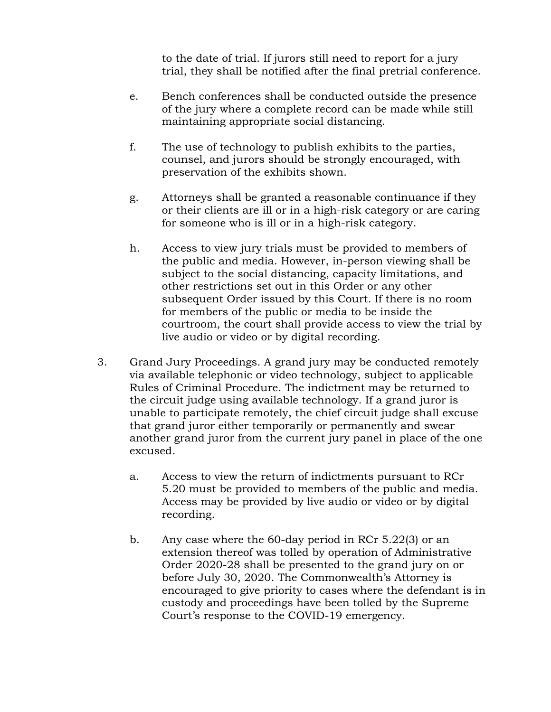to the date of trial. If jurors still need to report for a jury trial, they shall be notified after the final pretrial conference.

- e. Bench conferences shall be conducted outside the presence of the jury where a complete record can be made while still maintaining appropriate social distancing.
- f. The use of technology to publish exhibits to the parties, counsel, and jurors should be strongly encouraged, with preservation of the exhibits shown.
- g. Attorneys shall be granted a reasonable continuance if they or their clients are ill or in a high-risk category or are caring for someone who is ill or in a high-risk category.
- h. Access to view jury trials must be provided to members of the public and media. However, in-person viewing shall be subject to the social distancing, capacity limitations, and other restrictions set out in this Order or any other subsequent Order issued by this Court. If there is no room for members of the public or media to be inside the courtroom, the court shall provide access to view the trial by live audio or video or by digital recording.
- 3. Grand Jury Proceedings. A grand jury may be conducted remotely via available telephonic or video technology, subject to applicable Rules of Criminal Procedure. The indictment may be returned to the circuit judge using available technology. If a grand juror is unable to participate remotely, the chief circuit judge shall excuse that grand juror either temporarily or permanently and swear another grand juror from the current jury panel in place of the one excused.
	- a. Access to view the return of indictments pursuant to RCr 5.20 must be provided to members of the public and media. Access may be provided by live audio or video or by digital recording.
	- b. Any case where the 60-day period in RCr 5.22(3) or an extension thereof was tolled by operation of Administrative Order 2020-28 shall be presented to the grand jury on or before July 30, 2020. The Commonwealth's Attorney is encouraged to give priority to cases where the defendant is in custody and proceedings have been tolled by the Supreme Court's response to the COVID-19 emergency.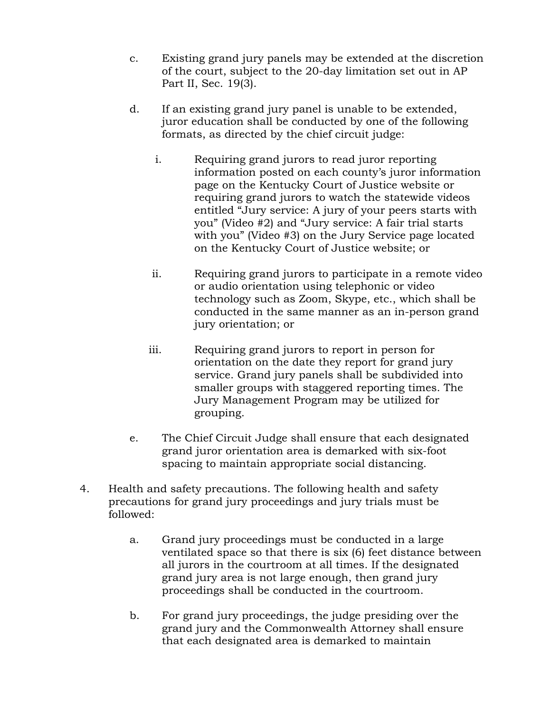- c. Existing grand jury panels may be extended at the discretion of the court, subject to the 20-day limitation set out in AP Part II, Sec. 19(3).
- d. If an existing grand jury panel is unable to be extended, juror education shall be conducted by one of the following formats, as directed by the chief circuit judge:
	- i. Requiring grand jurors to read juror reporting information posted on each county's juror information page on the Kentucky Court of Justice website or requiring grand jurors to watch the statewide videos entitled "Jury service: A jury of your peers starts with you" (Video #2) and "Jury service: A fair trial starts with you" (Video #3) on the Jury Service page located on the Kentucky Court of Justice website; or
	- ii. Requiring grand jurors to participate in a remote video or audio orientation using telephonic or video technology such as Zoom, Skype, etc., which shall be conducted in the same manner as an in-person grand jury orientation; or
	- iii. Requiring grand jurors to report in person for orientation on the date they report for grand jury service. Grand jury panels shall be subdivided into smaller groups with staggered reporting times. The Jury Management Program may be utilized for grouping.
- e. The Chief Circuit Judge shall ensure that each designated grand juror orientation area is demarked with six-foot spacing to maintain appropriate social distancing.
- 4. Health and safety precautions. The following health and safety precautions for grand jury proceedings and jury trials must be followed:
	- a. Grand jury proceedings must be conducted in a large ventilated space so that there is six (6) feet distance between all jurors in the courtroom at all times. If the designated grand jury area is not large enough, then grand jury proceedings shall be conducted in the courtroom.
	- b. For grand jury proceedings, the judge presiding over the grand jury and the Commonwealth Attorney shall ensure that each designated area is demarked to maintain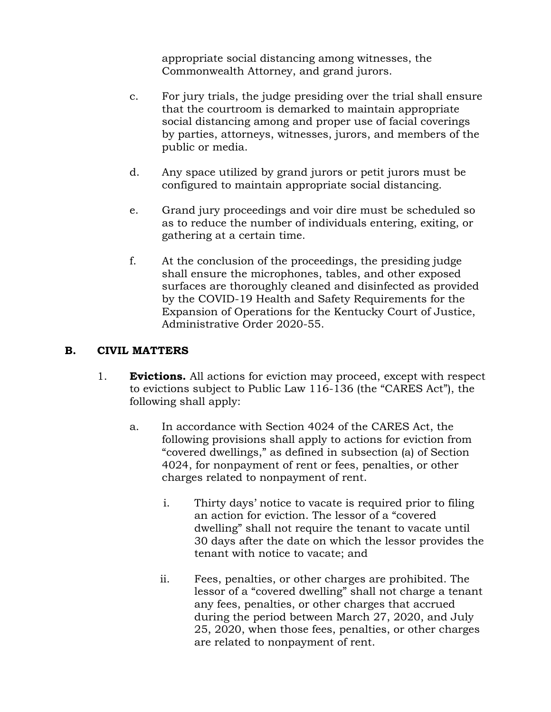appropriate social distancing among witnesses, the Commonwealth Attorney, and grand jurors.

- c. For jury trials, the judge presiding over the trial shall ensure that the courtroom is demarked to maintain appropriate social distancing among and proper use of facial coverings by parties, attorneys, witnesses, jurors, and members of the public or media.
- d. Any space utilized by grand jurors or petit jurors must be configured to maintain appropriate social distancing.
- e. Grand jury proceedings and voir dire must be scheduled so as to reduce the number of individuals entering, exiting, or gathering at a certain time.
- f. At the conclusion of the proceedings, the presiding judge shall ensure the microphones, tables, and other exposed surfaces are thoroughly cleaned and disinfected as provided by the COVID-19 Health and Safety Requirements for the Expansion of Operations for the Kentucky Court of Justice, Administrative Order 2020-55.

### **B. CIVIL MATTERS**

- 1. **Evictions.** All actions for eviction may proceed, except with respect to evictions subject to Public Law 116-136 (the "CARES Act"), the following shall apply:
	- a. In accordance with Section 4024 of the CARES Act, the following provisions shall apply to actions for eviction from "covered dwellings," as defined in subsection (a) of Section 4024, for nonpayment of rent or fees, penalties, or other charges related to nonpayment of rent.
		- i. Thirty days' notice to vacate is required prior to filing an action for eviction. The lessor of a "covered dwelling" shall not require the tenant to vacate until 30 days after the date on which the lessor provides the tenant with notice to vacate; and
		- ii. Fees, penalties, or other charges are prohibited. The lessor of a "covered dwelling" shall not charge a tenant any fees, penalties, or other charges that accrued during the period between March 27, 2020, and July 25, 2020, when those fees, penalties, or other charges are related to nonpayment of rent.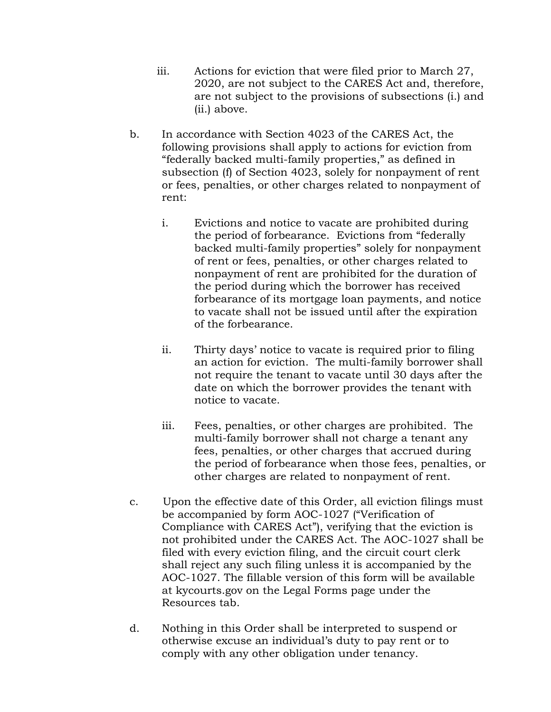- iii. Actions for eviction that were filed prior to March 27, 2020, are not subject to the CARES Act and, therefore, are not subject to the provisions of subsections (i.) and (ii.) above.
- b. In accordance with Section 4023 of the CARES Act, the following provisions shall apply to actions for eviction from "federally backed multi-family properties," as defined in subsection (f) of Section 4023, solely for nonpayment of rent or fees, penalties, or other charges related to nonpayment of rent:
	- i. Evictions and notice to vacate are prohibited during the period of forbearance. Evictions from "federally backed multi-family properties" solely for nonpayment of rent or fees, penalties, or other charges related to nonpayment of rent are prohibited for the duration of the period during which the borrower has received forbearance of its mortgage loan payments, and notice to vacate shall not be issued until after the expiration of the forbearance.
	- ii. Thirty days' notice to vacate is required prior to filing an action for eviction. The multi-family borrower shall not require the tenant to vacate until 30 days after the date on which the borrower provides the tenant with notice to vacate.
	- iii. Fees, penalties, or other charges are prohibited. The multi-family borrower shall not charge a tenant any fees, penalties, or other charges that accrued during the period of forbearance when those fees, penalties, or other charges are related to nonpayment of rent.
- c. Upon the effective date of this Order, all eviction filings must be accompanied by form AOC-1027 ("Verification of Compliance with CARES Act"), verifying that the eviction is not prohibited under the CARES Act. The AOC-1027 shall be filed with every eviction filing, and the circuit court clerk shall reject any such filing unless it is accompanied by the AOC-1027. The fillable version of this form will be available at kycourts.gov on the Legal Forms page under the Resources tab.
- d. Nothing in this Order shall be interpreted to suspend or otherwise excuse an individual's duty to pay rent or to comply with any other obligation under tenancy.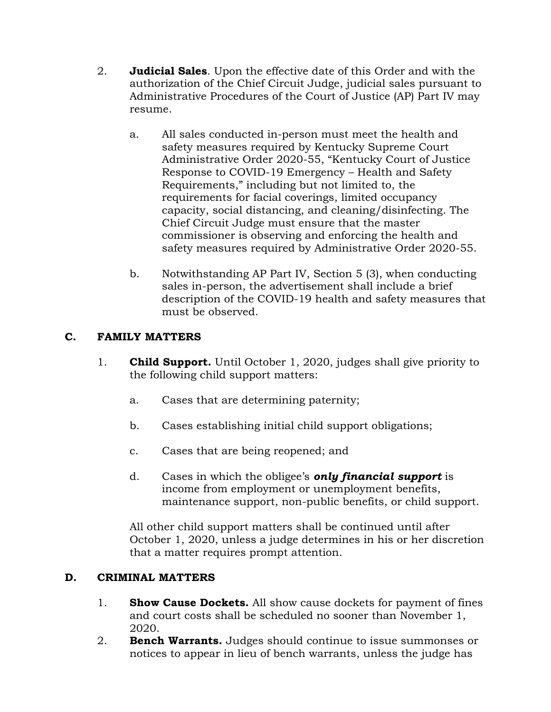- 2. **Judicial Sales**. Upon the effective date of this Order and with the authorization of the Chief Circuit Judge, judicial sales pursuant to Administrative Procedures of the Court of Justice (AP) Part IV may resume.
	- a. All sales conducted in-person must meet the health and safety measures required by Kentucky Supreme Court Administrative Order 2020-55, "Kentucky Court of Justice Response to COVID-19 Emergency – Health and Safety Requirements," including but not limited to, the requirements for facial coverings, limited occupancy capacity, social distancing, and cleaning/disinfecting. The Chief Circuit Judge must ensure that the master commissioner is observing and enforcing the health and safety measures required by Administrative Order 2020-55.
	- b. Notwithstanding AP Part IV, Section 5 (3), when conducting sales in-person, the advertisement shall include a brief description of the COVID-19 health and safety measures that must be observed.

# **C. FAMILY MATTERS**

- 1. **Child Support.** Until October 1, 2020, judges shall give priority to the following child support matters:
	- a. Cases that are determining paternity;
	- b. Cases establishing initial child support obligations;
	- c. Cases that are being reopened; and
	- d. Cases in which the obligee's *only financial support* is income from employment or unemployment benefits, maintenance support, non-public benefits, or child support.

All other child support matters shall be continued until after October 1, 2020, unless a judge determines in his or her discretion that a matter requires prompt attention.

# **D. CRIMINAL MATTERS**

- 1. **Show Cause Dockets.** All show cause dockets for payment of fines and court costs shall be scheduled no sooner than November 1, 2020.
- 2. **Bench Warrants.** Judges should continue to issue summonses or notices to appear in lieu of bench warrants, unless the judge has